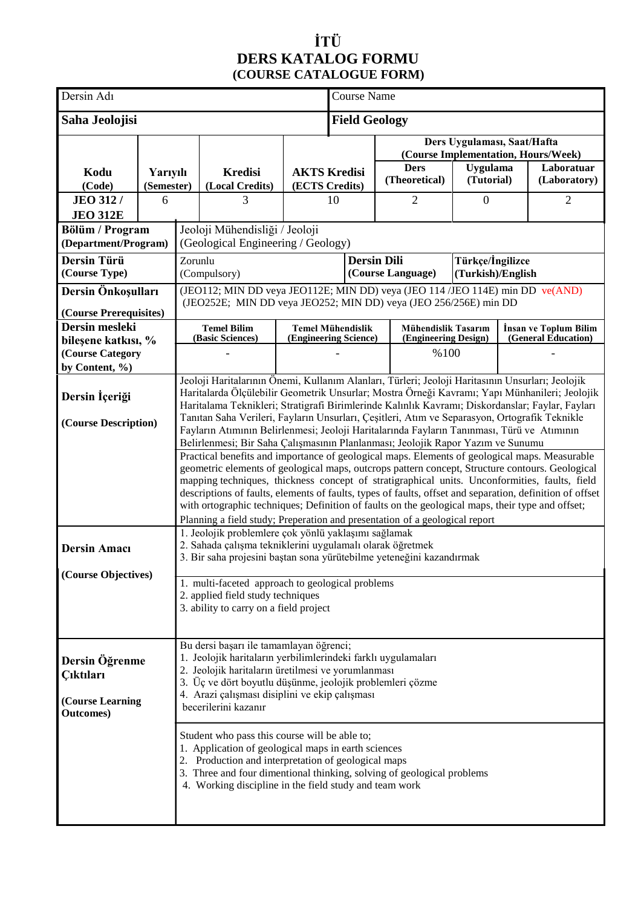## **İTÜ DERS KATALOG FORMU (COURSE CATALOGUE FORM)**

| Dersin Adı                              |            |                                                                                                                                                                                                   |                                                                               | Course Name           |                          |                     |                      |                   |                       |  |
|-----------------------------------------|------------|---------------------------------------------------------------------------------------------------------------------------------------------------------------------------------------------------|-------------------------------------------------------------------------------|-----------------------|--------------------------|---------------------|----------------------|-------------------|-----------------------|--|
| Saha Jeolojisi                          |            |                                                                                                                                                                                                   |                                                                               | <b>Field Geology</b>  |                          |                     |                      |                   |                       |  |
|                                         |            | Ders Uygulaması, Saat/Hafta<br>(Course Implementation, Hours/Week)                                                                                                                                |                                                                               |                       |                          |                     |                      |                   |                       |  |
| Kodu                                    | Yarıyılı   |                                                                                                                                                                                                   | <b>Kredisi</b>                                                                | <b>AKTS Kredisi</b>   |                          | <b>Ders</b>         | <b>Uygulama</b>      |                   | Laboratuar            |  |
| (Code)                                  | (Semester) |                                                                                                                                                                                                   | (Local Credits)                                                               | (ECTS Credits)        |                          | (Theoretical)       | (Tutorial)           |                   | (Laboratory)          |  |
| <b>JEO 312/</b>                         | 6          |                                                                                                                                                                                                   | 3                                                                             |                       | 10                       | 2                   | $\boldsymbol{0}$     | $\overline{2}$    |                       |  |
| <b>JEO 312E</b>                         |            |                                                                                                                                                                                                   |                                                                               |                       |                          |                     |                      |                   |                       |  |
| Bölüm / Program<br>(Department/Program) |            |                                                                                                                                                                                                   | Jeoloji Mühendisliği / Jeoloji<br>(Geological Engineering / Geology)          |                       |                          |                     |                      |                   |                       |  |
| Dersin Türü                             |            | <b>Dersin Dili</b><br>Türkçe/İngilizce<br>Zorunlu                                                                                                                                                 |                                                                               |                       |                          |                     |                      |                   |                       |  |
| (Course Type)                           |            |                                                                                                                                                                                                   | (Compulsory)                                                                  |                       |                          | (Course Language)   |                      | (Turkish)/English |                       |  |
| Dersin Önkoşulları                      |            |                                                                                                                                                                                                   | (JEO112; MIN DD veya JEO112E; MIN DD) veya (JEO 114 /JEO 114E) min DD ve(AND) |                       |                          |                     |                      |                   |                       |  |
| (Course Prerequisites)                  |            |                                                                                                                                                                                                   | (JEO252E; MIN DD veya JEO252; MIN DD) veya (JEO 256/256E) min DD              |                       |                          |                     |                      |                   |                       |  |
| Dersin mesleki                          |            |                                                                                                                                                                                                   | <b>Temel Bilim</b>                                                            |                       | <b>Temel Mühendislik</b> | Mühendislik Tasarım |                      |                   | İnsan ve Toplum Bilim |  |
| bileşene katkısı, %                     |            |                                                                                                                                                                                                   | (Basic Sciences)                                                              | (Engineering Science) |                          |                     | (Engineering Design) |                   | (General Education)   |  |
| (Course Category                        |            |                                                                                                                                                                                                   |                                                                               |                       |                          | %100                |                      |                   |                       |  |
| by Content, %)                          |            |                                                                                                                                                                                                   |                                                                               |                       |                          |                     |                      |                   |                       |  |
| Dersin İçeriği                          |            | Jeoloji Haritalarının Önemi, Kullanım Alanları, Türleri; Jeoloji Haritasının Unsurları; Jeolojik<br>Haritalarda Ölçülebilir Geometrik Unsurlar; Mostra Örneği Kavramı; Yapı Münhanileri; Jeolojik |                                                                               |                       |                          |                     |                      |                   |                       |  |
|                                         |            | Haritalama Teknikleri; Stratigrafi Birimlerinde Kalınlık Kavramı; Diskordanslar; Faylar, Fayları                                                                                                  |                                                                               |                       |                          |                     |                      |                   |                       |  |
| (Course Description)                    |            | Tanıtan Saha Verileri, Fayların Unsurları, Çeşitleri, Atım ve Separasyon, Ortografik Teknikle<br>Fayların Atımının Belirlenmesi; Jeoloji Haritalarında Fayların Tanınması, Türü ve Atımının       |                                                                               |                       |                          |                     |                      |                   |                       |  |
|                                         |            | Belirlenmesi; Bir Saha Çalışmasının Planlanması; Jeolojik Rapor Yazım ve Sunumu                                                                                                                   |                                                                               |                       |                          |                     |                      |                   |                       |  |
|                                         |            | Practical benefits and importance of geological maps. Elements of geological maps. Measurable                                                                                                     |                                                                               |                       |                          |                     |                      |                   |                       |  |
|                                         |            | geometric elements of geological maps, outcrops pattern concept, Structure contours. Geological<br>mapping techniques, thickness concept of stratigraphical units. Unconformities, faults, field  |                                                                               |                       |                          |                     |                      |                   |                       |  |
|                                         |            | descriptions of faults, elements of faults, types of faults, offset and separation, definition of offset                                                                                          |                                                                               |                       |                          |                     |                      |                   |                       |  |
|                                         |            | with ortographic techniques; Definition of faults on the geological maps, their type and offset;                                                                                                  |                                                                               |                       |                          |                     |                      |                   |                       |  |
|                                         |            | Planning a field study; Preperation and presentation of a geological report<br>1. Jeolojik problemlere çok yönlü yaklaşımı sağlamak                                                               |                                                                               |                       |                          |                     |                      |                   |                       |  |
| <b>Dersin Amacı</b>                     |            | 2. Sahada çalışma tekniklerini uygulamalı olarak öğretmek                                                                                                                                         |                                                                               |                       |                          |                     |                      |                   |                       |  |
|                                         |            | 3. Bir saha projesini baştan sona yürütebilme yeteneğini kazandırmak                                                                                                                              |                                                                               |                       |                          |                     |                      |                   |                       |  |
| (Course Objectives)                     |            |                                                                                                                                                                                                   |                                                                               |                       |                          |                     |                      |                   |                       |  |
|                                         |            | 1. multi-faceted approach to geological problems<br>2. applied field study techniques                                                                                                             |                                                                               |                       |                          |                     |                      |                   |                       |  |
|                                         |            | 3. ability to carry on a field project                                                                                                                                                            |                                                                               |                       |                          |                     |                      |                   |                       |  |
|                                         |            |                                                                                                                                                                                                   |                                                                               |                       |                          |                     |                      |                   |                       |  |
|                                         |            |                                                                                                                                                                                                   | Bu dersi başarı ile tamamlayan öğrenci;                                       |                       |                          |                     |                      |                   |                       |  |
| Dersin Öğrenme                          |            | 1. Jeolojik haritaların yerbilimlerindeki farklı uygulamaları                                                                                                                                     |                                                                               |                       |                          |                     |                      |                   |                       |  |
| <b>Ciktilari</b>                        |            | 2. Jeolojik haritaların üretilmesi ve yorumlanması<br>3. Üç ve dört boyutlu düşünme, jeolojik problemleri çözme                                                                                   |                                                                               |                       |                          |                     |                      |                   |                       |  |
|                                         |            | 4. Arazi çalışması disiplini ve ekip çalışması                                                                                                                                                    |                                                                               |                       |                          |                     |                      |                   |                       |  |
| (Course Learning<br><b>Outcomes</b> )   |            | becerilerini kazanır                                                                                                                                                                              |                                                                               |                       |                          |                     |                      |                   |                       |  |
|                                         |            |                                                                                                                                                                                                   |                                                                               |                       |                          |                     |                      |                   |                       |  |
|                                         |            | Student who pass this course will be able to;<br>1. Application of geological maps in earth sciences                                                                                              |                                                                               |                       |                          |                     |                      |                   |                       |  |
|                                         |            | 2. Production and interpretation of geological maps                                                                                                                                               |                                                                               |                       |                          |                     |                      |                   |                       |  |
|                                         |            | 3. Three and four dimentional thinking, solving of geological problems<br>4. Working discipline in the field study and team work                                                                  |                                                                               |                       |                          |                     |                      |                   |                       |  |
|                                         |            |                                                                                                                                                                                                   |                                                                               |                       |                          |                     |                      |                   |                       |  |
|                                         |            |                                                                                                                                                                                                   |                                                                               |                       |                          |                     |                      |                   |                       |  |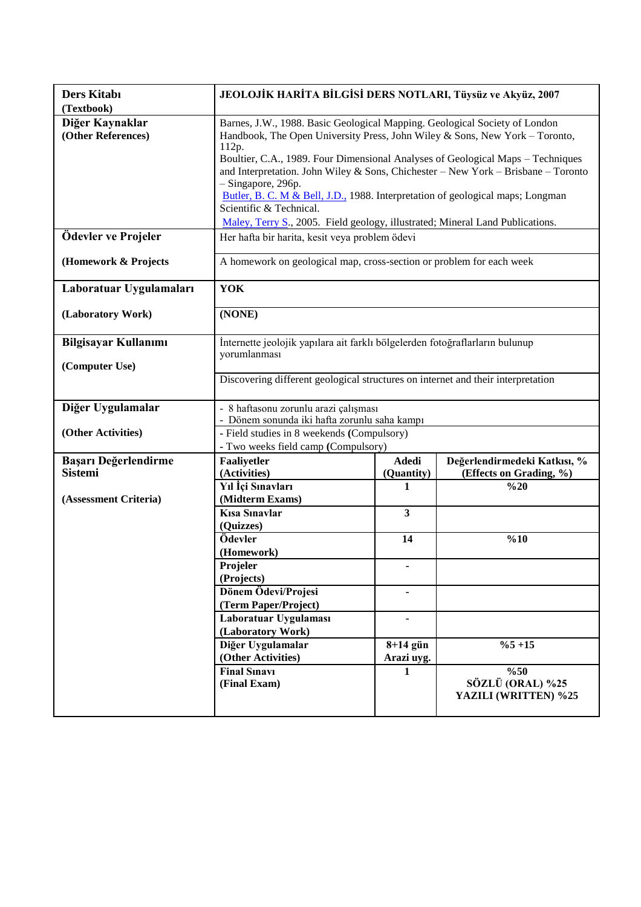| Ders Kitabı<br>(Textbook)              | JEOLOJİK HARİTA BİLGİSİ DERS NOTLARI, Tüysüz ve Akyüz, 2007                                                                                                        |                            |                                                         |  |  |
|----------------------------------------|--------------------------------------------------------------------------------------------------------------------------------------------------------------------|----------------------------|---------------------------------------------------------|--|--|
| Diğer Kaynaklar<br>(Other References)  | Barnes, J.W., 1988. Basic Geological Mapping. Geological Society of London<br>Handbook, The Open University Press, John Wiley & Sons, New York - Toronto,<br>112p. |                            |                                                         |  |  |
|                                        | Boultier, C.A., 1989. Four Dimensional Analyses of Geological Maps – Techniques                                                                                    |                            |                                                         |  |  |
|                                        | and Interpretation. John Wiley & Sons, Chichester - New York - Brisbane - Toronto<br>- Singapore, 296p.                                                            |                            |                                                         |  |  |
|                                        | Butler, B. C. M & Bell, J.D., 1988. Interpretation of geological maps; Longman                                                                                     |                            |                                                         |  |  |
|                                        | Scientific & Technical.                                                                                                                                            |                            |                                                         |  |  |
|                                        | Maley, Terry S., 2005. Field geology, illustrated; Mineral Land Publications.                                                                                      |                            |                                                         |  |  |
| Ödevler ve Projeler                    | Her hafta bir harita, kesit veya problem ödevi                                                                                                                     |                            |                                                         |  |  |
| (Homework & Projects                   | A homework on geological map, cross-section or problem for each week                                                                                               |                            |                                                         |  |  |
| Laboratuar Uygulamaları                | YOK                                                                                                                                                                |                            |                                                         |  |  |
| (Laboratory Work)                      | (NONE)                                                                                                                                                             |                            |                                                         |  |  |
| <b>Bilgisayar Kullanımı</b>            | İnternette jeolojik yapılara ait farklı bölgelerden fotoğraflarların bulunup                                                                                       |                            |                                                         |  |  |
| (Computer Use)                         | yorumlanması                                                                                                                                                       |                            |                                                         |  |  |
|                                        | Discovering different geological structures on internet and their interpretation                                                                                   |                            |                                                         |  |  |
| Diğer Uygulamalar                      | - 8 haftasonu zorunlu arazi çalışması                                                                                                                              |                            |                                                         |  |  |
|                                        | - Dönem sonunda iki hafta zorunlu saha kampı                                                                                                                       |                            |                                                         |  |  |
| (Other Activities)                     | - Field studies in 8 weekends (Compulsory)                                                                                                                         |                            |                                                         |  |  |
|                                        | - Two weeks field camp (Compulsory)                                                                                                                                |                            |                                                         |  |  |
| Başarı Değerlendirme<br><b>Sistemi</b> | Faaliyetler<br>(Activities)                                                                                                                                        | <b>Adedi</b><br>(Quantity) | Değerlendirmedeki Katkısı, %<br>(Effects on Grading, %) |  |  |
|                                        | Yıl İçi Sınavları                                                                                                                                                  | 1                          | %20                                                     |  |  |
| (Assessment Criteria)                  | (Midterm Exams)                                                                                                                                                    |                            |                                                         |  |  |
|                                        | <b>Kisa Sinavlar</b>                                                                                                                                               | $\mathbf{3}$               |                                                         |  |  |
|                                        | (Quizzes)<br>Ödevler                                                                                                                                               |                            | %10                                                     |  |  |
|                                        |                                                                                                                                                                    |                            |                                                         |  |  |
|                                        |                                                                                                                                                                    | 14                         |                                                         |  |  |
|                                        | (Homework)                                                                                                                                                         |                            |                                                         |  |  |
|                                        | Projeler<br>(Projects)                                                                                                                                             |                            |                                                         |  |  |
|                                        | Dönem Ödevi/Projesi                                                                                                                                                |                            |                                                         |  |  |
|                                        | (Term Paper/Project)                                                                                                                                               |                            |                                                         |  |  |
|                                        | Laboratuar Uygulaması                                                                                                                                              |                            |                                                         |  |  |
|                                        | (Laboratory Work)                                                                                                                                                  |                            |                                                         |  |  |
|                                        | Diğer Uygulamalar<br>(Other Activities)                                                                                                                            | $8+14$ gün<br>Arazi uyg.   | $%5 + 15$                                               |  |  |
|                                        | <b>Final Sinavi</b>                                                                                                                                                | 1                          | $\frac{0}{6}$                                           |  |  |
|                                        | (Final Exam)                                                                                                                                                       |                            | SÖZLÜ (ORAL) %25<br>YAZILI (WRITTEN) %25                |  |  |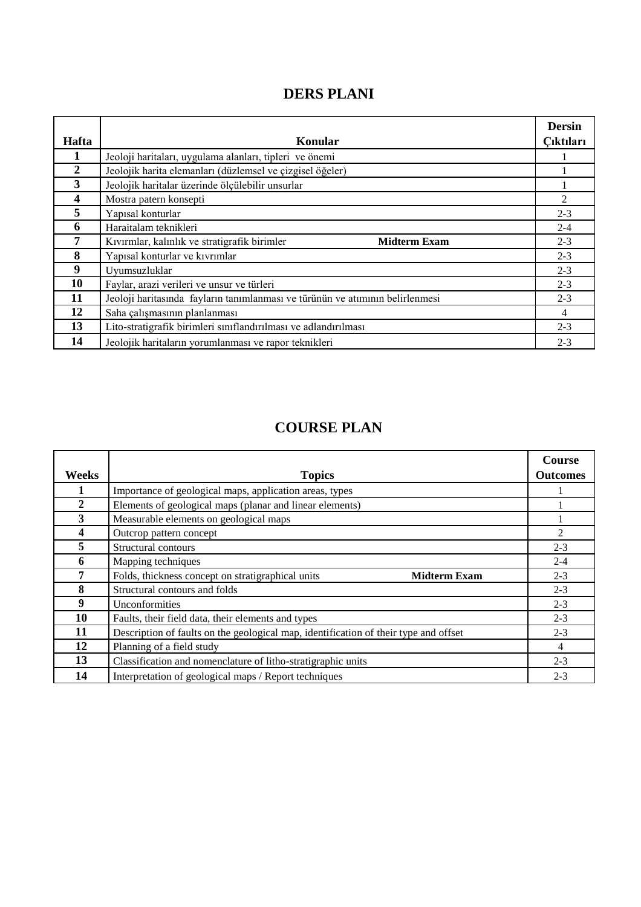# **DERS PLANI**

| Hafta            | Konular                                                                       | <b>Dersin</b><br>Cıktıları |
|------------------|-------------------------------------------------------------------------------|----------------------------|
|                  | Jeoloji haritaları, uygulama alanları, tipleri ve önemi                       |                            |
| $\boldsymbol{2}$ | Jeolojik harita elemanları (düzlemsel ve çizgisel öğeler)                     |                            |
| 3                | Jeolojik haritalar üzerinde ölçülebilir unsurlar                              |                            |
| 4                | Mostra patern konsepti                                                        | 2                          |
| 5                | Yapısal konturlar                                                             | $2 - 3$                    |
| 6                | Haraitalam teknikleri                                                         | $2 - 4$                    |
| 7                | Kıvırmlar, kalınlık ve stratigrafik birimler<br><b>Midterm Exam</b>           | $2 - 3$                    |
| 8                | Yapısal konturlar ve kıvrımlar                                                | $2 - 3$                    |
| 9                | Uyumsuzluklar                                                                 | $2 - 3$                    |
| 10               | Faylar, arazi verileri ve unsur ve türleri                                    | $2 - 3$                    |
| 11               | Jeoloji haritasında fayların tanımlanması ve türünün ve atımının belirlenmesi | $2 - 3$                    |
| 12               | Saha çalışmasının planlanması                                                 | 4                          |
| 13               | Lito-stratigrafik birimleri sınıflandırılması ve adlandırılması               | $2 - 3$                    |
| 14               | Jeolojik haritaların yorumlanması ve rapor teknikleri                         | $2 - 3$                    |

# **COURSE PLAN**

|              |                                                                                      | <b>Course</b>   |
|--------------|--------------------------------------------------------------------------------------|-----------------|
| Weeks        | <b>Topics</b>                                                                        | <b>Outcomes</b> |
|              | Importance of geological maps, application areas, types                              |                 |
| $\mathbf{2}$ | Elements of geological maps (planar and linear elements)                             |                 |
| 3            | Measurable elements on geological maps                                               |                 |
|              | Outcrop pattern concept                                                              | 2               |
| 5.           | Structural contours                                                                  | $2 - 3$         |
| 6            | Mapping techniques                                                                   | $2 - 4$         |
| 7            | Folds, thickness concept on stratigraphical units<br><b>Midterm Exam</b>             | $2 - 3$         |
| 8            | Structural contours and folds                                                        | $2 - 3$         |
| 9            | Unconformities                                                                       | $2 - 3$         |
| 10           | Faults, their field data, their elements and types                                   | $2 - 3$         |
| 11           | Description of faults on the geological map, identification of their type and offset | $2 - 3$         |
| 12           | Planning of a field study                                                            | 4               |
| 13           | Classification and nomenclature of litho-stratigraphic units                         | $2 - 3$         |
| 14           | Interpretation of geological maps / Report techniques                                | $2 - 3$         |